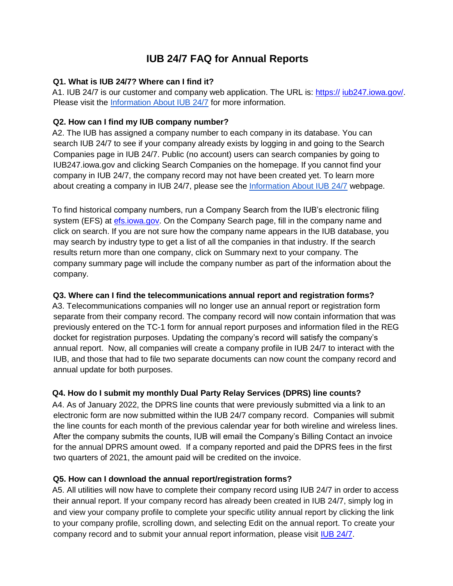# **IUB 24/7 FAQ for Annual Reports**

#### **Q1. What is IUB 24/7? Where can I find it?**

A1. IUB 24/7 is our customer and company web application. The URL i[s: https://](https://iub.iowatest.gov/regulated-industries/telecommunications/iub-247-telecommunications-companies) [iub247.iowa.gov/.](https://iub.iowatest.gov/regulated-industries/telecommunications/iub-247-telecommunications-companies) Please visit the [Information About IUB 24/7](https://iub.iowa.gov/records-information/information-about-iub-247) for more information.

## **Q2. How can I find my IUB company number?**

A2. The IUB has assigned a company number to each company in its database. You can search IUB 24/7 to see if your company already exists by logging in and going to the Search Companies page in IUB 24/7. Public (no account) users can search companies by going to IUB247.iowa.gov and clicking Search Companies on the homepage. If you cannot find your company in IUB 24/7, the company record may not have been created yet. To learn more about creating a company in IUB 24/7, please see the [Information About IUB 24/7](https://iub.iowa.gov/records-information/information-about-iub-247) webpage.

To find historical company numbers, run a Company Search from the IUB's electronic filing system (EFS) at [efs.iowa.gov.](https://efs.iowa.gov/efs/) On the Company Search page, fill in the company name and click on search. If you are not sure how the company name appears in the IUB database, you may search by industry type to get a list of all the companies in that industry. If the search results return more than one company, click on Summary next to your company. The company summary page will include the company number as part of the information about the company.

## **Q3. Where can I find the telecommunications annual report and registration forms?**

A3. Telecommunications companies will no longer use an annual report or registration form separate from their company record. The company record will now contain information that was previously entered on the TC-1 form for annual report purposes and information filed in the REG docket for registration purposes. Updating the company's record will satisfy the company's annual report. Now, all companies will create a company profile in IUB 24/7 to interact with the IUB, and those that had to file two separate documents can now count the company record and annual update for both purposes.

## **Q4. How do I submit my monthly Dual Party Relay Services (DPRS) line counts?**

A4. As of January 2022, the DPRS line counts that were previously submitted via a link to an electronic form are now submitted within the IUB 24/7 company record. Companies will submit the line counts for each month of the previous calendar year for both wireline and wireless lines. After the company submits the counts, IUB will email the Company's Billing Contact an invoice for the annual DPRS amount owed. If a company reported and paid the DPRS fees in the first two quarters of 2021, the amount paid will be credited on the invoice.

## **Q5. How can I download the annual report/registration forms?**

A5. All utilities will now have to complete their company record using IUB 24/7 in order to access their annual report. If your company record has already been created in IUB 24/7, simply log in and view your company profile to complete your specific utility annual report by clicking the link to your company profile, scrolling down, and selecting Edit on the annual report. To create your company record and to submit your annual report information, please visit [IUB 24/7.](https://iub247.iowa.gov/)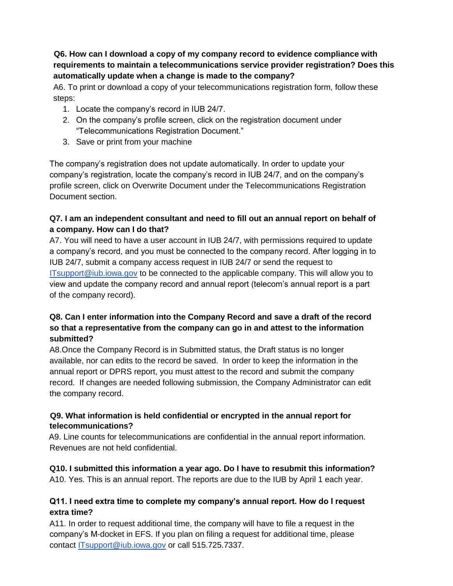**Q6. How can I download a copy of my company record to evidence compliance with requirements to maintain a telecommunications service provider registration? Does this automatically update when a change is made to the company?**

A6. To print or download a copy of your telecommunications registration form, follow these steps:

- 1. Locate the company's record in IUB 24/7.
- 2. On the company's profile screen, click on the registration document under "Telecommunications Registration Document."
- 3. Save or print from your machine

The company's registration does not update automatically. In order to update your company's registration, locate the company's record in IUB 24/7, and on the company's profile screen, click on Overwrite Document under the Telecommunications Registration Document section.

#### **Q7. I am an independent consultant and need to fill out an annual report on behalf of a company. How can I do that?**

A7. You will need to have a user account in IUB 24/7, with permissions required to update a company's record, and you must be connected to the company record. After logging in to IUB 24/7, submit a company access request in IUB 24/7 or send the request to [ITsupport@iub.iowa.gov](mailto:ITsupport@iub.iowa.gov) to be connected to the applicable company. This will allow you to view and update the company record and annual report (telecom's annual report is a part of the company record).

## **Q8. Can I enter information into the Company Record and save a draft of the record so that a representative from the company can go in and attest to the information submitted?**

A8.Once the Company Record is in Submitted status, the Draft status is no longer available, nor can edits to the record be saved. In order to keep the information in the annual report or DPRS report, you must attest to the record and submit the company record. If changes are needed following submission, the Company Administrator can edit the company record.

## **Q9. What information is held confidential or encrypted in the annual report for telecommunications?**

A9. Line counts for telecommunications are confidential in the annual report information. Revenues are not held confidential.

## **Q10. I submitted this information a year ago. Do I have to resubmit this information?**

A10. Yes. This is an annual report. The reports are due to the IUB by April 1 each year.

## **Q11. I need extra time to complete my company's annual report. How do I request extra time?**

A11. In order to request additional time, the company will have to file a request in the company's M-docket in EFS. If you plan on filing a request for additional time, please contact [ITsupport@iub.iowa.gov](mailto:ITsupport@iub.iowa.gov) or call 515.725.7337.